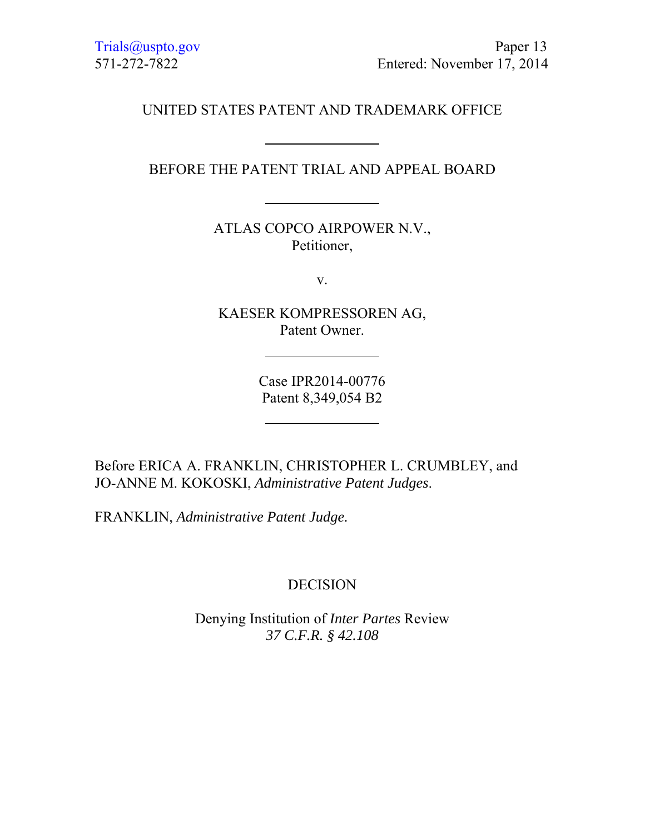UNITED STATES PATENT AND TRADEMARK OFFICE

BEFORE THE PATENT TRIAL AND APPEAL BOARD

ATLAS COPCO AIRPOWER N.V., Petitioner,

v.

KAESER KOMPRESSOREN AG, Patent Owner.

> Case IPR2014-00776 Patent 8,349,054 B2

Before ERICA A. FRANKLIN, CHRISTOPHER L. CRUMBLEY, and JO-ANNE M. KOKOSKI, *Administrative Patent Judges*.

FRANKLIN, *Administrative Patent Judge.*

# DECISION

Denying Institution of *Inter Partes* Review *37 C.F.R. § 42.108*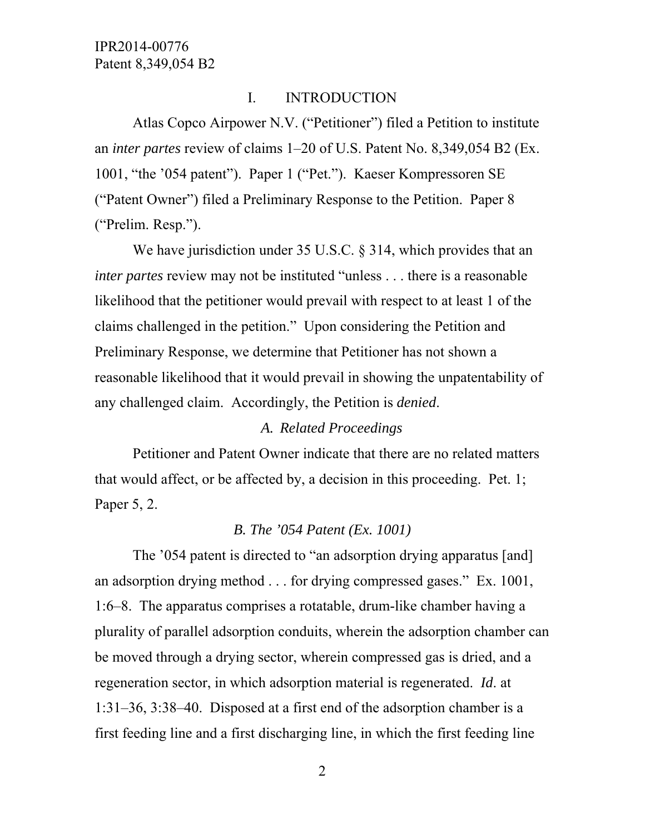# I. INTRODUCTION

Atlas Copco Airpower N.V. ("Petitioner") filed a Petition to institute an *inter partes* review of claims 1–20 of U.S. Patent No. 8,349,054 B2 (Ex. 1001, "the '054 patent"). Paper 1 ("Pet."). Kaeser Kompressoren SE ("Patent Owner") filed a Preliminary Response to the Petition. Paper 8 ("Prelim. Resp.").

We have jurisdiction under 35 U.S.C. § 314, which provides that an *inter partes* review may not be instituted "unless . . . there is a reasonable likelihood that the petitioner would prevail with respect to at least 1 of the claims challenged in the petition." Upon considering the Petition and Preliminary Response, we determine that Petitioner has not shown a reasonable likelihood that it would prevail in showing the unpatentability of any challenged claim. Accordingly, the Petition is *denied*.

## *A. Related Proceedings*

Petitioner and Patent Owner indicate that there are no related matters that would affect, or be affected by, a decision in this proceeding. Pet. 1; Paper 5, 2.

## *B. The '054 Patent (Ex. 1001)*

The '054 patent is directed to "an adsorption drying apparatus [and] an adsorption drying method . . . for drying compressed gases." Ex. 1001, 1:6–8. The apparatus comprises a rotatable, drum-like chamber having a plurality of parallel adsorption conduits, wherein the adsorption chamber can be moved through a drying sector, wherein compressed gas is dried, and a regeneration sector, in which adsorption material is regenerated. *Id*. at 1:31–36, 3:38–40. Disposed at a first end of the adsorption chamber is a first feeding line and a first discharging line, in which the first feeding line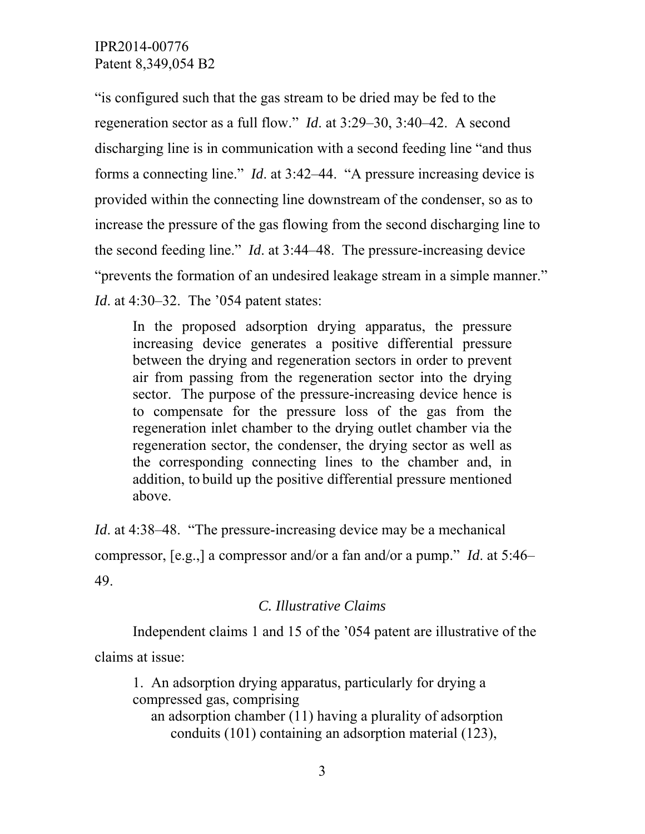"is configured such that the gas stream to be dried may be fed to the regeneration sector as a full flow." *Id*. at 3:29–30, 3:40–42. A second discharging line is in communication with a second feeding line "and thus forms a connecting line." *Id*. at 3:42–44. "A pressure increasing device is provided within the connecting line downstream of the condenser, so as to increase the pressure of the gas flowing from the second discharging line to the second feeding line." *Id*. at 3:44–48. The pressure-increasing device "prevents the formation of an undesired leakage stream in a simple manner." *Id.* at 4:30–32. The '054 patent states:

In the proposed adsorption drying apparatus, the pressure increasing device generates a positive differential pressure between the drying and regeneration sectors in order to prevent air from passing from the regeneration sector into the drying sector. The purpose of the pressure-increasing device hence is to compensate for the pressure loss of the gas from the regeneration inlet chamber to the drying outlet chamber via the regeneration sector, the condenser, the drying sector as well as the corresponding connecting lines to the chamber and, in addition, to build up the positive differential pressure mentioned above.

*Id.* at 4:38–48. "The pressure-increasing device may be a mechanical compressor, [e.g.,] a compressor and/or a fan and/or a pump." *Id*. at 5:46– 49.

## *C. Illustrative Claims*

Independent claims 1 and 15 of the '054 patent are illustrative of the claims at issue:

1. An adsorption drying apparatus, particularly for drying a compressed gas, comprising an adsorption chamber (11) having a plurality of adsorption conduits (101) containing an adsorption material (123),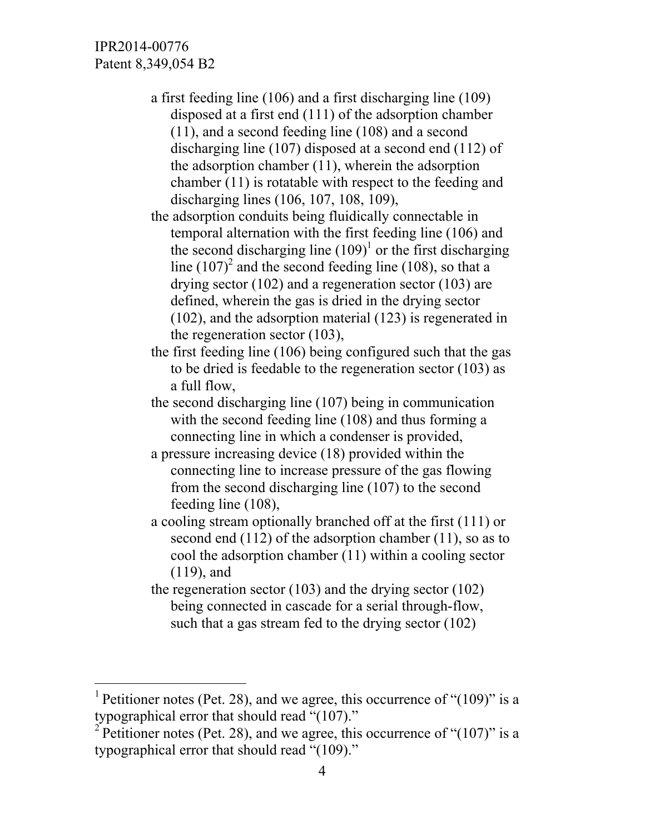$\overline{a}$ 

a first feeding line (106) and a first discharging line (109) disposed at a first end (111) of the adsorption chamber (11), and a second feeding line (108) and a second discharging line (107) disposed at a second end (112) of the adsorption chamber (11), wherein the adsorption chamber (11) is rotatable with respect to the feeding and discharging lines (106, 107, 108, 109),

the adsorption conduits being fluidically connectable in temporal alternation with the first feeding line (106) and the second discharging line  $(109)^1$  or the first discharging line  $(107)^2$  and the second feeding line (108), so that a drying sector (102) and a regeneration sector (103) are defined, wherein the gas is dried in the drying sector (102), and the adsorption material (123) is regenerated in the regeneration sector (103),

- the first feeding line (106) being configured such that the gas to be dried is feedable to the regeneration sector (103) as a full flow,
- the second discharging line (107) being in communication with the second feeding line (108) and thus forming a connecting line in which a condenser is provided,
- a pressure increasing device (18) provided within the connecting line to increase pressure of the gas flowing from the second discharging line (107) to the second feeding line (108),
- a cooling stream optionally branched off at the first (111) or second end (112) of the adsorption chamber (11), so as to cool the adsorption chamber (11) within a cooling sector (119), and
- the regeneration sector (103) and the drying sector (102) being connected in cascade for a serial through-flow, such that a gas stream fed to the drying sector (102)

<sup>&</sup>lt;sup>1</sup> Petitioner notes (Pet. 28), and we agree, this occurrence of " $(109)$ " is a typographical error that should read "(107)."

<sup>&</sup>lt;sup>2</sup> Petitioner notes (Pet. 28), and we agree, this occurrence of " $(107)$ " is a typographical error that should read "(109)."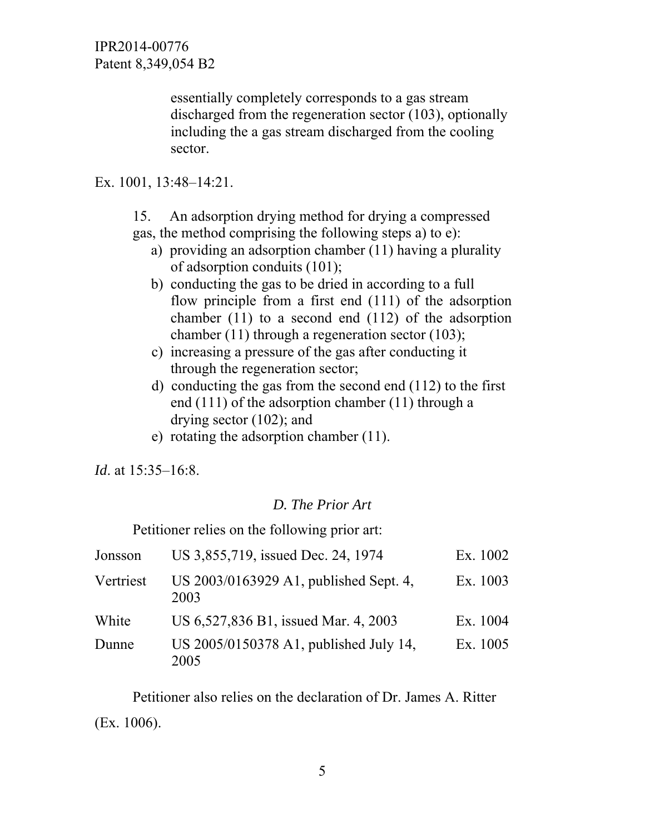> essentially completely corresponds to a gas stream discharged from the regeneration sector (103), optionally including the a gas stream discharged from the cooling sector.

Ex. 1001, 13:48–14:21.

15. An adsorption drying method for drying a compressed gas, the method comprising the following steps a) to e):

- a) providing an adsorption chamber (11) having a plurality of adsorption conduits (101);
- b) conducting the gas to be dried in according to a full flow principle from a first end (111) of the adsorption chamber (11) to a second end (112) of the adsorption chamber (11) through a regeneration sector (103);
- c) increasing a pressure of the gas after conducting it through the regeneration sector;
- d) conducting the gas from the second end (112) to the first end (111) of the adsorption chamber (11) through a drying sector (102); and
- e) rotating the adsorption chamber (11).

*Id*. at 15:35–16:8.

# *D. The Prior Art*

Petitioner relies on the following prior art:

| Jonsson   | US 3,855,719, issued Dec. 24, 1974             | Ex. 1002 |
|-----------|------------------------------------------------|----------|
| Vertriest | US 2003/0163929 A1, published Sept. 4,<br>2003 | Ex. 1003 |
| White     | US 6,527,836 B1, issued Mar. 4, 2003           | Ex. 1004 |
| Dunne     | US 2005/0150378 A1, published July 14,<br>2005 | Ex. 1005 |

Petitioner also relies on the declaration of Dr. James A. Ritter (Ex. 1006).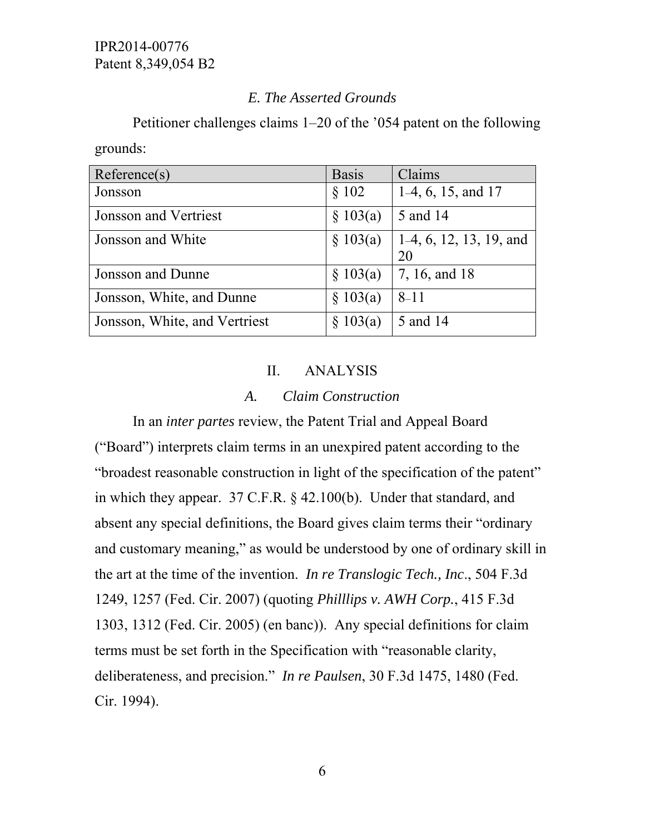# *E. The Asserted Grounds*

Petitioner challenges claims 1–20 of the '054 patent on the following grounds:

| Reference(s)                  | <b>Basis</b> | Claims                               |
|-------------------------------|--------------|--------------------------------------|
| Jonsson                       | \$102        | $1-4, 6, 15, and 17$                 |
| Jonsson and Vertriest         | \$103(a)     | 5 and 14                             |
| Jonsson and White             | § 103(a)     | $  1-4, 6, 12, 13, 19,$ and          |
|                               |              | 20                                   |
| Jonsson and Dunne             | \$103(a)     | $\vert 7, 16, \text{ and } 18 \vert$ |
| Jonsson, White, and Dunne     | \$103(a)     | $\sqrt{8-11}$                        |
| Jonsson, White, and Vertriest | \$103(a)     | 5 and 14                             |

# II. ANALYSIS

### *A. Claim Construction*

In an *inter partes* review, the Patent Trial and Appeal Board ("Board") interprets claim terms in an unexpired patent according to the "broadest reasonable construction in light of the specification of the patent" in which they appear. 37 C.F.R. § 42.100(b). Under that standard, and absent any special definitions, the Board gives claim terms their "ordinary and customary meaning," as would be understood by one of ordinary skill in the art at the time of the invention. *In re Translogic Tech., Inc*., 504 F.3d 1249, 1257 (Fed. Cir. 2007) (quoting *Philllips v. AWH Corp.*, 415 F.3d 1303, 1312 (Fed. Cir. 2005) (en banc)). Any special definitions for claim terms must be set forth in the Specification with "reasonable clarity, deliberateness, and precision." *In re Paulsen*, 30 F.3d 1475, 1480 (Fed. Cir. 1994).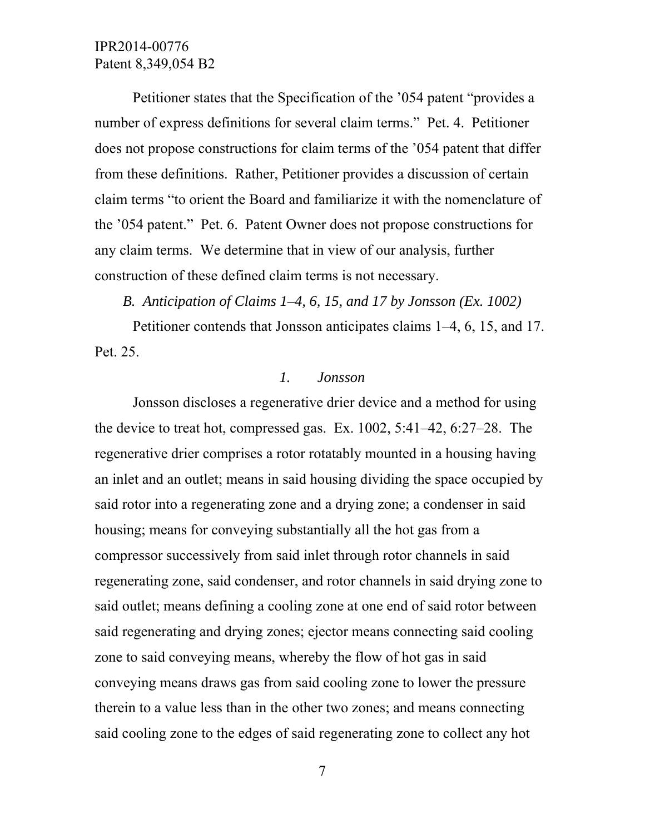Petitioner states that the Specification of the '054 patent "provides a number of express definitions for several claim terms." Pet. 4. Petitioner does not propose constructions for claim terms of the '054 patent that differ from these definitions. Rather, Petitioner provides a discussion of certain claim terms "to orient the Board and familiarize it with the nomenclature of the '054 patent." Pet. 6. Patent Owner does not propose constructions for any claim terms. We determine that in view of our analysis, further construction of these defined claim terms is not necessary.

#### *B. Anticipation of Claims 1–4, 6, 15, and 17 by Jonsson (Ex. 1002)*

 Petitioner contends that Jonsson anticipates claims 1–4, 6, 15, and 17. Pet. 25.

## *1. Jonsson*

Jonsson discloses a regenerative drier device and a method for using the device to treat hot, compressed gas. Ex. 1002, 5:41–42, 6:27–28. The regenerative drier comprises a rotor rotatably mounted in a housing having an inlet and an outlet; means in said housing dividing the space occupied by said rotor into a regenerating zone and a drying zone; a condenser in said housing; means for conveying substantially all the hot gas from a compressor successively from said inlet through rotor channels in said regenerating zone, said condenser, and rotor channels in said drying zone to said outlet; means defining a cooling zone at one end of said rotor between said regenerating and drying zones; ejector means connecting said cooling zone to said conveying means, whereby the flow of hot gas in said conveying means draws gas from said cooling zone to lower the pressure therein to a value less than in the other two zones; and means connecting said cooling zone to the edges of said regenerating zone to collect any hot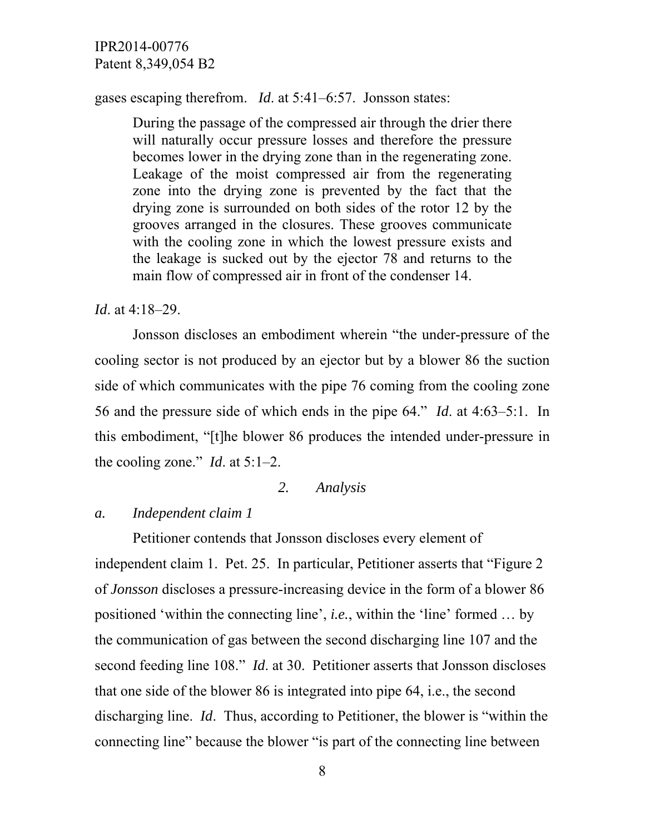#### gases escaping therefrom. *Id*. at 5:41–6:57. Jonsson states:

During the passage of the compressed air through the drier there will naturally occur pressure losses and therefore the pressure becomes lower in the drying zone than in the regenerating zone. Leakage of the moist compressed air from the regenerating zone into the drying zone is prevented by the fact that the drying zone is surrounded on both sides of the rotor 12 by the grooves arranged in the closures. These grooves communicate with the cooling zone in which the lowest pressure exists and the leakage is sucked out by the ejector 78 and returns to the main flow of compressed air in front of the condenser 14.

#### *Id*. at 4:18–29.

Jonsson discloses an embodiment wherein "the under-pressure of the cooling sector is not produced by an ejector but by a blower 86 the suction side of which communicates with the pipe 76 coming from the cooling zone 56 and the pressure side of which ends in the pipe 64." *Id*. at 4:63–5:1. In this embodiment, "[t]he blower 86 produces the intended under-pressure in the cooling zone." *Id*. at 5:1–2.

### *2. Analysis*

#### *a. Independent claim 1*

Petitioner contends that Jonsson discloses every element of independent claim 1. Pet. 25. In particular, Petitioner asserts that "Figure 2 of *Jonsson* discloses a pressure-increasing device in the form of a blower 86 positioned 'within the connecting line', *i.e.*, within the 'line' formed … by the communication of gas between the second discharging line 107 and the second feeding line 108." *Id*. at 30. Petitioner asserts that Jonsson discloses that one side of the blower 86 is integrated into pipe 64, i.e., the second discharging line. *Id*. Thus, according to Petitioner, the blower is "within the connecting line" because the blower "is part of the connecting line between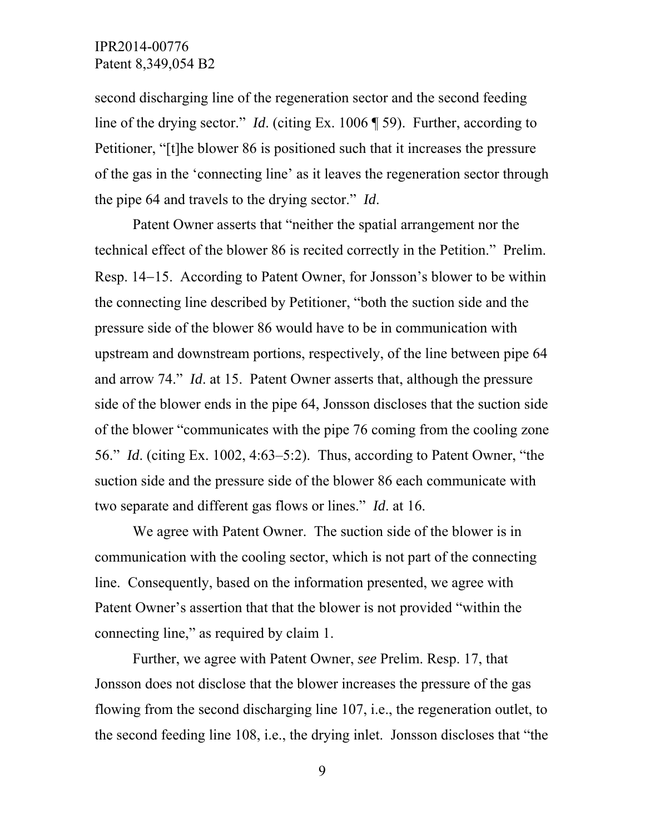second discharging line of the regeneration sector and the second feeding line of the drying sector." *Id*. (citing Ex. 1006 ¶ 59). Further, according to Petitioner, "[t]he blower 86 is positioned such that it increases the pressure of the gas in the 'connecting line' as it leaves the regeneration sector through the pipe 64 and travels to the drying sector." *Id*.

Patent Owner asserts that "neither the spatial arrangement nor the technical effect of the blower 86 is recited correctly in the Petition." Prelim. Resp. 14–15. According to Patent Owner, for Jonsson's blower to be within the connecting line described by Petitioner, "both the suction side and the pressure side of the blower 86 would have to be in communication with upstream and downstream portions, respectively, of the line between pipe 64 and arrow 74." *Id*. at 15. Patent Owner asserts that, although the pressure side of the blower ends in the pipe 64, Jonsson discloses that the suction side of the blower "communicates with the pipe 76 coming from the cooling zone 56." *Id*. (citing Ex. 1002, 4:63–5:2). Thus, according to Patent Owner, "the suction side and the pressure side of the blower 86 each communicate with two separate and different gas flows or lines." *Id*. at 16.

We agree with Patent Owner. The suction side of the blower is in communication with the cooling sector, which is not part of the connecting line. Consequently, based on the information presented, we agree with Patent Owner's assertion that that the blower is not provided "within the connecting line," as required by claim 1.

Further, we agree with Patent Owner, *see* Prelim. Resp. 17, that Jonsson does not disclose that the blower increases the pressure of the gas flowing from the second discharging line 107, i.e., the regeneration outlet, to the second feeding line 108, i.e., the drying inlet. Jonsson discloses that "the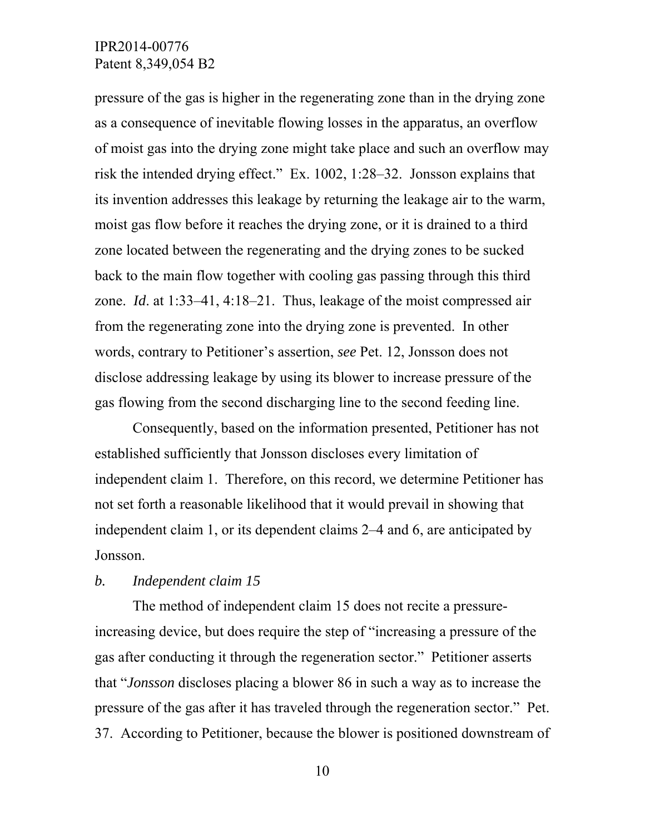pressure of the gas is higher in the regenerating zone than in the drying zone as a consequence of inevitable flowing losses in the apparatus, an overflow of moist gas into the drying zone might take place and such an overflow may risk the intended drying effect." Ex. 1002, 1:28–32. Jonsson explains that its invention addresses this leakage by returning the leakage air to the warm, moist gas flow before it reaches the drying zone, or it is drained to a third zone located between the regenerating and the drying zones to be sucked back to the main flow together with cooling gas passing through this third zone. *Id*. at 1:33–41, 4:18–21. Thus, leakage of the moist compressed air from the regenerating zone into the drying zone is prevented. In other words, contrary to Petitioner's assertion, *see* Pet. 12, Jonsson does not disclose addressing leakage by using its blower to increase pressure of the gas flowing from the second discharging line to the second feeding line.

Consequently, based on the information presented, Petitioner has not established sufficiently that Jonsson discloses every limitation of independent claim 1. Therefore, on this record, we determine Petitioner has not set forth a reasonable likelihood that it would prevail in showing that independent claim 1, or its dependent claims 2–4 and 6, are anticipated by Jonsson.

### *b. Independent claim 15*

The method of independent claim 15 does not recite a pressureincreasing device, but does require the step of "increasing a pressure of the gas after conducting it through the regeneration sector." Petitioner asserts that "*Jonsson* discloses placing a blower 86 in such a way as to increase the pressure of the gas after it has traveled through the regeneration sector." Pet. 37. According to Petitioner, because the blower is positioned downstream of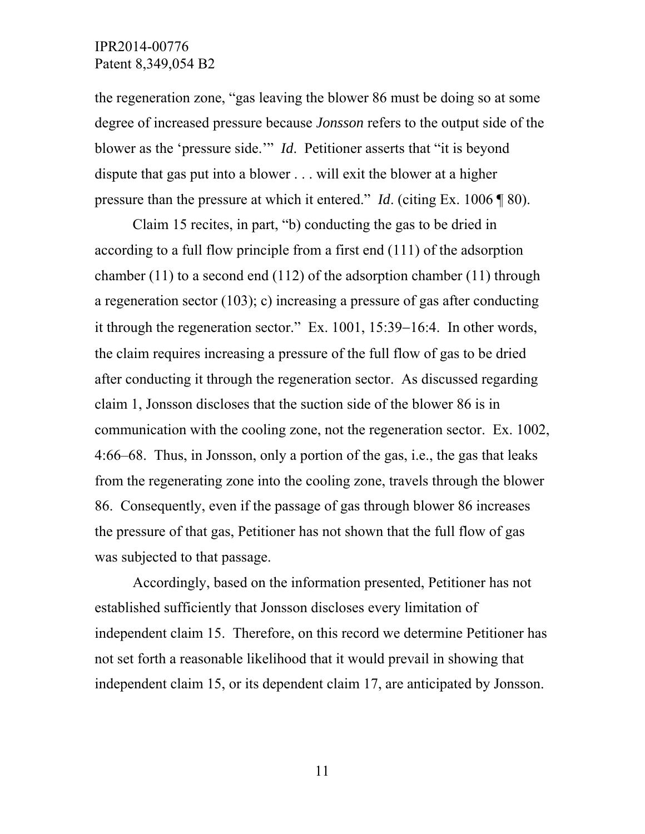the regeneration zone, "gas leaving the blower 86 must be doing so at some degree of increased pressure because *Jonsson* refers to the output side of the blower as the 'pressure side.'" *Id*. Petitioner asserts that "it is beyond dispute that gas put into a blower . . . will exit the blower at a higher pressure than the pressure at which it entered." *Id*. (citing Ex. 1006 ¶ 80).

Claim 15 recites, in part, "b) conducting the gas to be dried in according to a full flow principle from a first end (111) of the adsorption chamber (11) to a second end (112) of the adsorption chamber (11) through a regeneration sector (103); c) increasing a pressure of gas after conducting it through the regeneration sector." Ex.  $1001$ ,  $15:39-16:4$ . In other words, the claim requires increasing a pressure of the full flow of gas to be dried after conducting it through the regeneration sector. As discussed regarding claim 1, Jonsson discloses that the suction side of the blower 86 is in communication with the cooling zone, not the regeneration sector. Ex. 1002, 4:66–68. Thus, in Jonsson, only a portion of the gas, i.e., the gas that leaks from the regenerating zone into the cooling zone, travels through the blower 86. Consequently, even if the passage of gas through blower 86 increases the pressure of that gas, Petitioner has not shown that the full flow of gas was subjected to that passage.

Accordingly, based on the information presented, Petitioner has not established sufficiently that Jonsson discloses every limitation of independent claim 15. Therefore, on this record we determine Petitioner has not set forth a reasonable likelihood that it would prevail in showing that independent claim 15, or its dependent claim 17, are anticipated by Jonsson.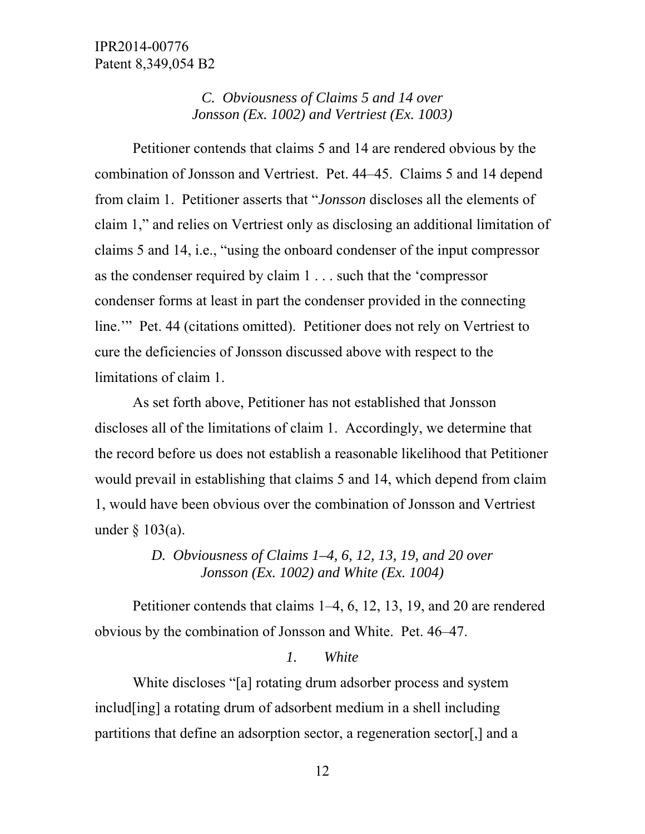# *C. Obviousness of Claims 5 and 14 over Jonsson (Ex. 1002) and Vertriest (Ex. 1003)*

 Petitioner contends that claims 5 and 14 are rendered obvious by the combination of Jonsson and Vertriest. Pet. 44–45. Claims 5 and 14 depend from claim 1. Petitioner asserts that "*Jonsson* discloses all the elements of claim 1," and relies on Vertriest only as disclosing an additional limitation of claims 5 and 14, i.e., "using the onboard condenser of the input compressor as the condenser required by claim 1 . . . such that the 'compressor condenser forms at least in part the condenser provided in the connecting line.'" Pet. 44 (citations omitted). Petitioner does not rely on Vertriest to cure the deficiencies of Jonsson discussed above with respect to the limitations of claim 1.

 As set forth above, Petitioner has not established that Jonsson discloses all of the limitations of claim 1. Accordingly, we determine that the record before us does not establish a reasonable likelihood that Petitioner would prevail in establishing that claims 5 and 14, which depend from claim 1, would have been obvious over the combination of Jonsson and Vertriest under § 103(a).

# *D. Obviousness of Claims 1–4, 6, 12, 13, 19, and 20 over Jonsson (Ex. 1002) and White (Ex. 1004)*

 Petitioner contends that claims 1–4, 6, 12, 13, 19, and 20 are rendered obvious by the combination of Jonsson and White. Pet. 46–47.

## *1. White*

White discloses "[a] rotating drum adsorber process and system includ[ing] a rotating drum of adsorbent medium in a shell including partitions that define an adsorption sector, a regeneration sector[,] and a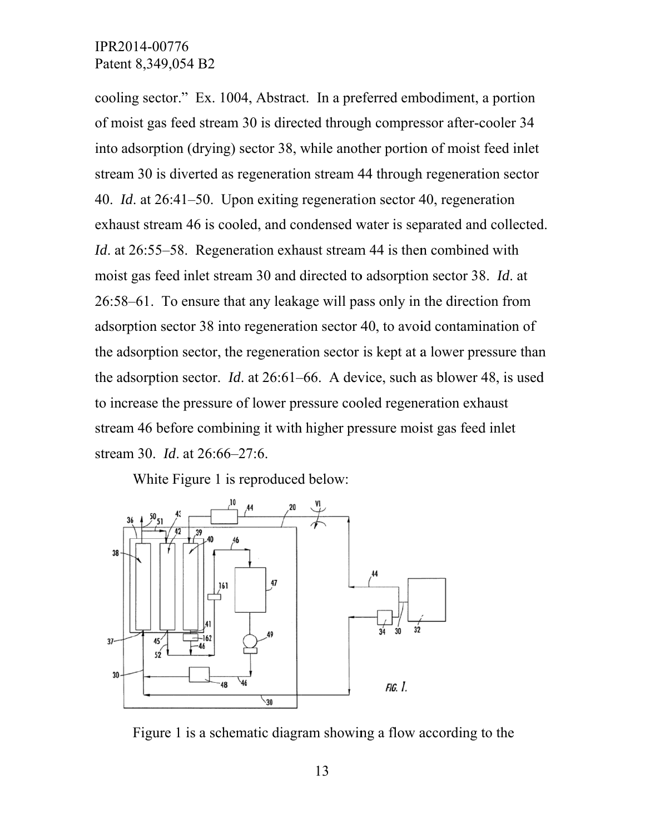cooling sector." Ex. 1004, Abstract. In a preferred embodiment, a portion of moist gas feed stream 30 is directed through compressor after-cooler 34 into adsorption (drying) sector 38, while another portion of moist feed inlet stream 30 is diverted as regeneration stream 44 through regeneration sector 40. *Id.* at 26:41–50. Upon exiting regeneration sector 40, regeneration exhaust stream 46 is cooled, and condensed water is separated and collected. *Id.* at 26:55–58. Regeneration exhaust stream 44 is then combined with moist gas feed inlet stream 30 and directed to adsorption sector 38. *Id*. at 26:58–61. To ensure that any leakage will pass only in the direction from adsorption sector 38 into regeneration sector 40, to avoid contamination of the adsorption sector, the regeneration sector is kept at a lower pressure than the adsorption sector, the regeneration sector is kept at a lower pressure than<br>the adsorption sector. *Id*. at 26:61–66. A device, such as blower 48, is used to increase the pressure of lower pressure cooled regeneration exhaust stream 46 before combining it with higher pressure moist gas feed inlet stream 30. *Id.* at 26:66–27:6.

White Figure 1 is reproduced below:



Figure 1 is a schematic diagram showing a flow according to the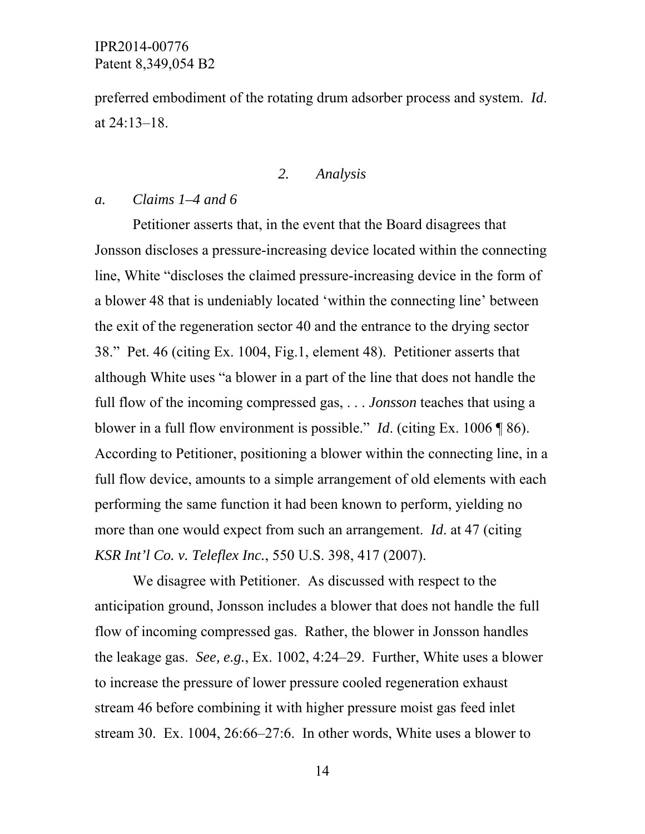preferred embodiment of the rotating drum adsorber process and system. *Id*. at 24:13–18.

## *2. Analysis*

### *a. Claims 1–4 and 6*

Petitioner asserts that, in the event that the Board disagrees that Jonsson discloses a pressure-increasing device located within the connecting line, White "discloses the claimed pressure-increasing device in the form of a blower 48 that is undeniably located 'within the connecting line' between the exit of the regeneration sector 40 and the entrance to the drying sector 38." Pet. 46 (citing Ex. 1004, Fig.1, element 48). Petitioner asserts that although White uses "a blower in a part of the line that does not handle the full flow of the incoming compressed gas, . . . *Jonsson* teaches that using a blower in a full flow environment is possible." *Id*. (citing Ex. 1006 ¶ 86). According to Petitioner, positioning a blower within the connecting line, in a full flow device, amounts to a simple arrangement of old elements with each performing the same function it had been known to perform, yielding no more than one would expect from such an arrangement. *Id*. at 47 (citing *KSR Int'l Co. v. Teleflex Inc.*, 550 U.S. 398, 417 (2007).

 We disagree with Petitioner. As discussed with respect to the anticipation ground, Jonsson includes a blower that does not handle the full flow of incoming compressed gas. Rather, the blower in Jonsson handles the leakage gas. *See, e.g.*, Ex. 1002, 4:24–29. Further, White uses a blower to increase the pressure of lower pressure cooled regeneration exhaust stream 46 before combining it with higher pressure moist gas feed inlet stream 30. Ex. 1004, 26:66–27:6. In other words, White uses a blower to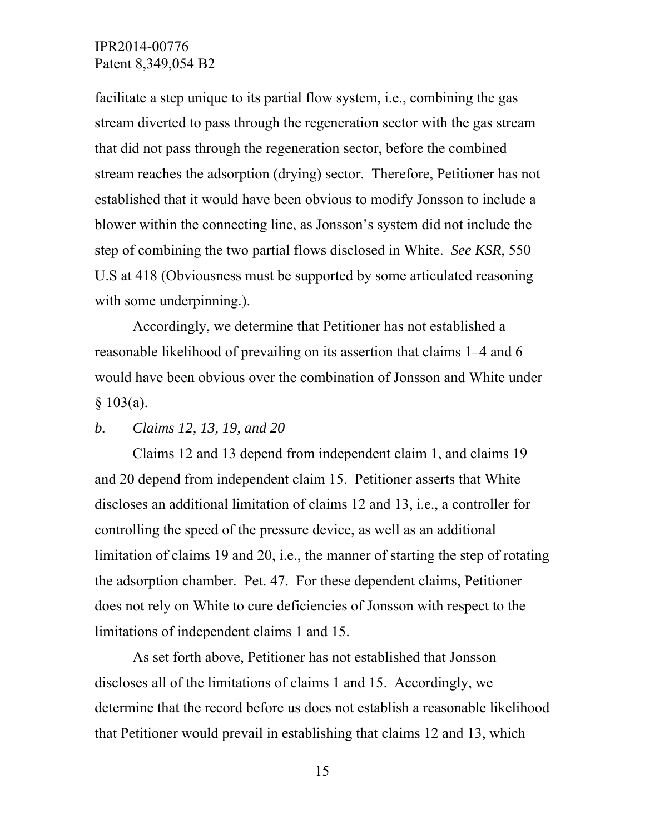facilitate a step unique to its partial flow system, i.e., combining the gas stream diverted to pass through the regeneration sector with the gas stream that did not pass through the regeneration sector, before the combined stream reaches the adsorption (drying) sector. Therefore, Petitioner has not established that it would have been obvious to modify Jonsson to include a blower within the connecting line, as Jonsson's system did not include the step of combining the two partial flows disclosed in White. *See KSR*, 550 U.S at 418 (Obviousness must be supported by some articulated reasoning with some underpinning.).

Accordingly, we determine that Petitioner has not established a reasonable likelihood of prevailing on its assertion that claims 1–4 and 6 would have been obvious over the combination of Jonsson and White under  $§ 103(a).$ 

### *b. Claims 12, 13, 19, and 20*

Claims 12 and 13 depend from independent claim 1, and claims 19 and 20 depend from independent claim 15. Petitioner asserts that White discloses an additional limitation of claims 12 and 13, i.e., a controller for controlling the speed of the pressure device, as well as an additional limitation of claims 19 and 20, i.e., the manner of starting the step of rotating the adsorption chamber. Pet. 47. For these dependent claims, Petitioner does not rely on White to cure deficiencies of Jonsson with respect to the limitations of independent claims 1 and 15.

As set forth above, Petitioner has not established that Jonsson discloses all of the limitations of claims 1 and 15. Accordingly, we determine that the record before us does not establish a reasonable likelihood that Petitioner would prevail in establishing that claims 12 and 13, which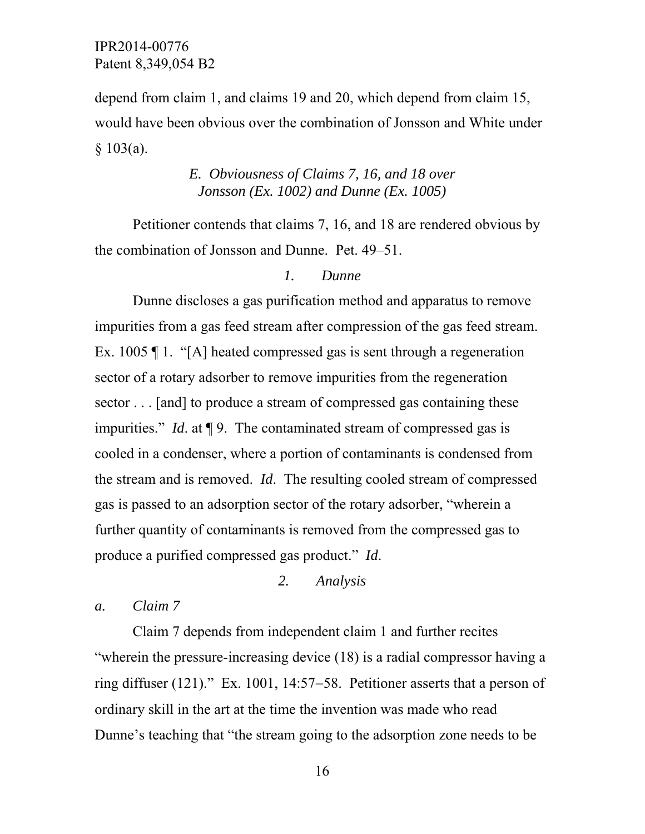depend from claim 1, and claims 19 and 20, which depend from claim 15, would have been obvious over the combination of Jonsson and White under  $$103(a).$ 

# *E. Obviousness of Claims 7, 16, and 18 over Jonsson (Ex. 1002) and Dunne (Ex. 1005)*

 Petitioner contends that claims 7, 16, and 18 are rendered obvious by the combination of Jonsson and Dunne. Pet. 49–51.

### *1. Dunne*

Dunne discloses a gas purification method and apparatus to remove impurities from a gas feed stream after compression of the gas feed stream. Ex. 1005 ¶ 1. "[A] heated compressed gas is sent through a regeneration sector of a rotary adsorber to remove impurities from the regeneration sector . . . [and] to produce a stream of compressed gas containing these impurities." *Id*. at ¶ 9. The contaminated stream of compressed gas is cooled in a condenser, where a portion of contaminants is condensed from the stream and is removed. *Id*. The resulting cooled stream of compressed gas is passed to an adsorption sector of the rotary adsorber, "wherein a further quantity of contaminants is removed from the compressed gas to produce a purified compressed gas product." *Id*.

# *2. Analysis*

*a. Claim 7* 

Claim 7 depends from independent claim 1 and further recites "wherein the pressure-increasing device (18) is a radial compressor having a ring diffuser  $(121)$ ." Ex. 1001, 14:57–58. Petitioner asserts that a person of ordinary skill in the art at the time the invention was made who read Dunne's teaching that "the stream going to the adsorption zone needs to be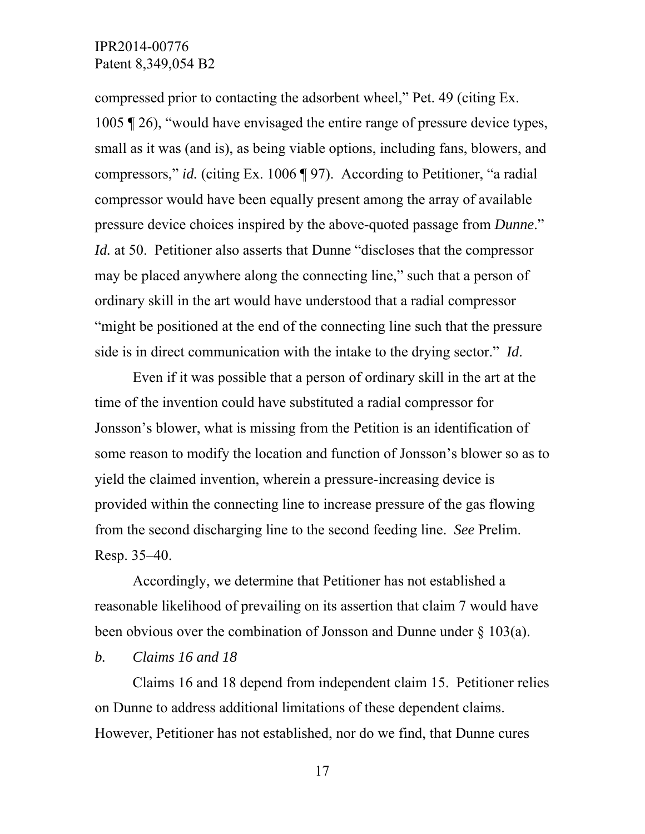compressed prior to contacting the adsorbent wheel," Pet. 49 (citing Ex. 1005 ¶ 26), "would have envisaged the entire range of pressure device types, small as it was (and is), as being viable options, including fans, blowers, and compressors," *id.* (citing Ex. 1006 ¶ 97). According to Petitioner, "a radial compressor would have been equally present among the array of available pressure device choices inspired by the above-quoted passage from *Dunne*." *Id.* at 50. Petitioner also asserts that Dunne "discloses that the compressor may be placed anywhere along the connecting line," such that a person of ordinary skill in the art would have understood that a radial compressor "might be positioned at the end of the connecting line such that the pressure side is in direct communication with the intake to the drying sector." *Id*.

Even if it was possible that a person of ordinary skill in the art at the time of the invention could have substituted a radial compressor for Jonsson's blower, what is missing from the Petition is an identification of some reason to modify the location and function of Jonsson's blower so as to yield the claimed invention, wherein a pressure-increasing device is provided within the connecting line to increase pressure of the gas flowing from the second discharging line to the second feeding line. *See* Prelim. Resp. 35–40.

Accordingly, we determine that Petitioner has not established a reasonable likelihood of prevailing on its assertion that claim 7 would have been obvious over the combination of Jonsson and Dunne under § 103(a).

### *b. Claims 16 and 18*

 Claims 16 and 18 depend from independent claim 15. Petitioner relies on Dunne to address additional limitations of these dependent claims. However, Petitioner has not established, nor do we find, that Dunne cures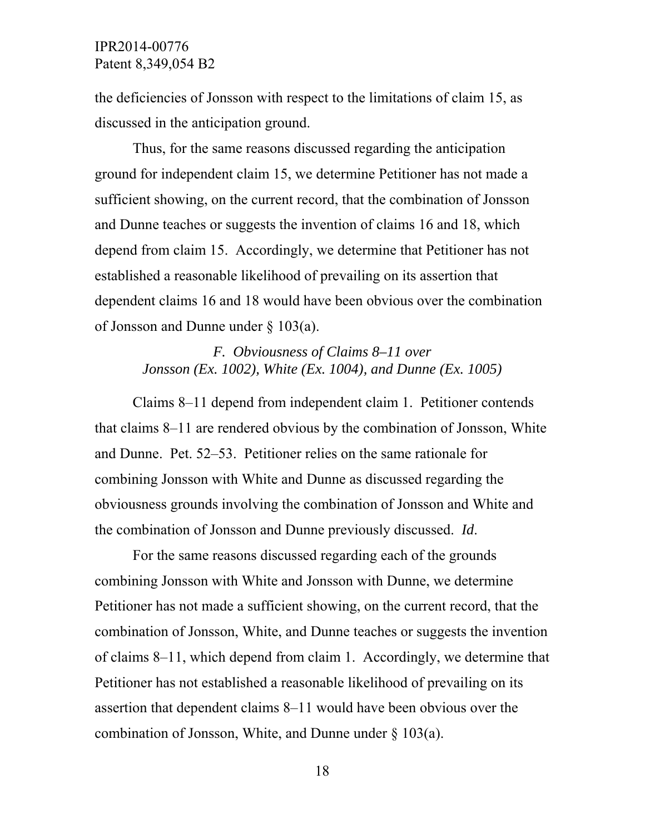the deficiencies of Jonsson with respect to the limitations of claim 15, as discussed in the anticipation ground.

Thus, for the same reasons discussed regarding the anticipation ground for independent claim 15, we determine Petitioner has not made a sufficient showing, on the current record, that the combination of Jonsson and Dunne teaches or suggests the invention of claims 16 and 18, which depend from claim 15. Accordingly, we determine that Petitioner has not established a reasonable likelihood of prevailing on its assertion that dependent claims 16 and 18 would have been obvious over the combination of Jonsson and Dunne under § 103(a).

# *F. Obviousness of Claims 8–11 over Jonsson (Ex. 1002), White (Ex. 1004), and Dunne (Ex. 1005)*

Claims 8–11 depend from independent claim 1. Petitioner contends that claims 8–11 are rendered obvious by the combination of Jonsson, White and Dunne. Pet. 52–53. Petitioner relies on the same rationale for combining Jonsson with White and Dunne as discussed regarding the obviousness grounds involving the combination of Jonsson and White and the combination of Jonsson and Dunne previously discussed. *Id*.

For the same reasons discussed regarding each of the grounds combining Jonsson with White and Jonsson with Dunne, we determine Petitioner has not made a sufficient showing, on the current record, that the combination of Jonsson, White, and Dunne teaches or suggests the invention of claims 8–11, which depend from claim 1. Accordingly, we determine that Petitioner has not established a reasonable likelihood of prevailing on its assertion that dependent claims 8–11 would have been obvious over the combination of Jonsson, White, and Dunne under § 103(a).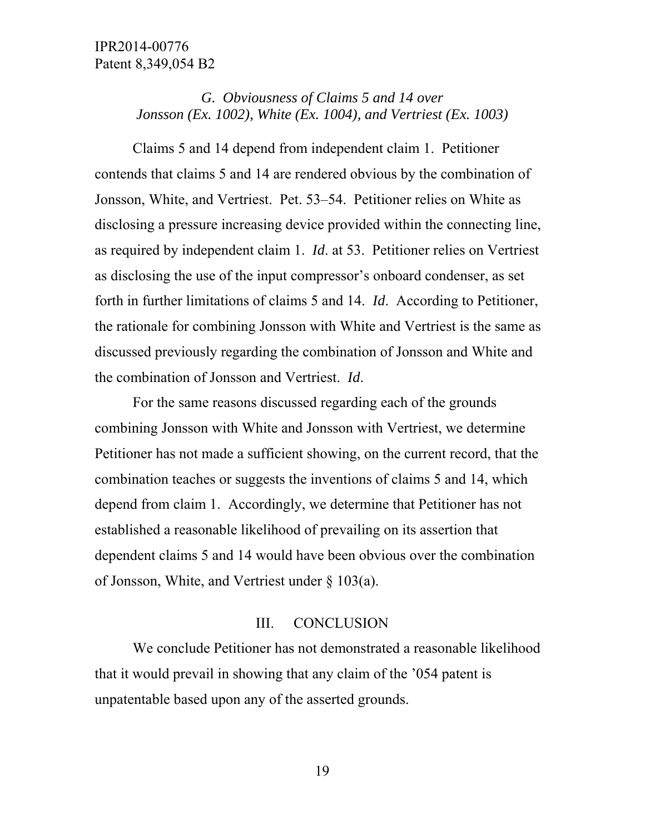# *G. Obviousness of Claims 5 and 14 over Jonsson (Ex. 1002), White (Ex. 1004), and Vertriest (Ex. 1003)*

 Claims 5 and 14 depend from independent claim 1. Petitioner contends that claims 5 and 14 are rendered obvious by the combination of Jonsson, White, and Vertriest. Pet. 53–54. Petitioner relies on White as disclosing a pressure increasing device provided within the connecting line, as required by independent claim 1. *Id*. at 53. Petitioner relies on Vertriest as disclosing the use of the input compressor's onboard condenser, as set forth in further limitations of claims 5 and 14. *Id*. According to Petitioner, the rationale for combining Jonsson with White and Vertriest is the same as discussed previously regarding the combination of Jonsson and White and the combination of Jonsson and Vertriest. *Id*.

For the same reasons discussed regarding each of the grounds combining Jonsson with White and Jonsson with Vertriest, we determine Petitioner has not made a sufficient showing, on the current record, that the combination teaches or suggests the inventions of claims 5 and 14, which depend from claim 1. Accordingly, we determine that Petitioner has not established a reasonable likelihood of prevailing on its assertion that dependent claims 5 and 14 would have been obvious over the combination of Jonsson, White, and Vertriest under § 103(a).

# III. CONCLUSION

We conclude Petitioner has not demonstrated a reasonable likelihood that it would prevail in showing that any claim of the '054 patent is unpatentable based upon any of the asserted grounds.